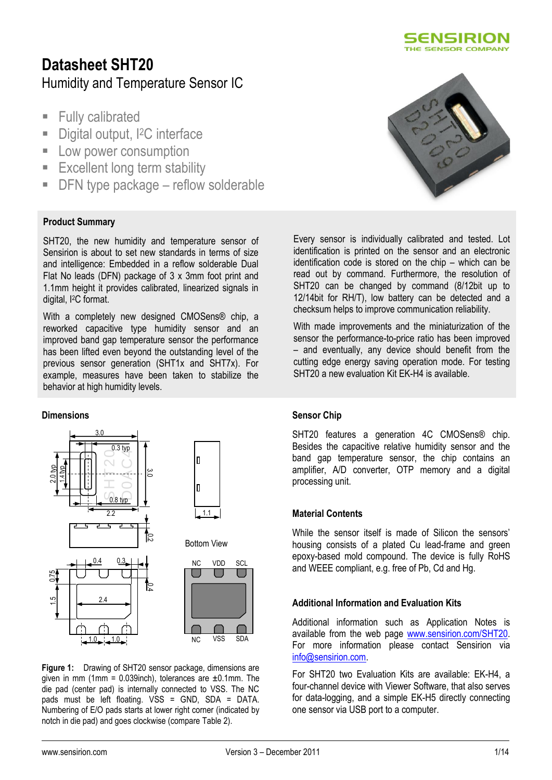

# **Datasheet SHT20** Humidity and Temperature Sensor IC

- **Fully calibrated**
- Digital output, <sup>2</sup>C interface
- **Low power consumption**
- **Excellent long term stability**
- DFN type package reflow solderable

### **Product Summary**

SHT20, the new humidity and temperature sensor of Sensirion is about to set new standards in terms of size and intelligence: Embedded in a reflow solderable Dual Flat No leads (DFN) package of 3 x 3mm foot print and 1.1mm height it provides calibrated, linearized signals in digital, I2C format.

With a completely new designed CMOSens® chip, a reworked capacitive type humidity sensor and an improved band gap temperature sensor the performance has been lifted even beyond the outstanding level of the previous sensor generation (SHT1x and SHT7x). For example, measures have been taken to stabilize the behavior at high humidity levels.

#### **Dimensions**



**Figure 1:** Drawing of SHT20 sensor package, dimensions are given in mm (1mm =  $0.039$ inch), tolerances are  $\pm 0.1$ mm. The die pad (center pad) is internally connected to VSS. The NC pads must be left floating. VSS = GND, SDA = DATA. Numbering of E/O pads starts at lower right corner (indicated by notch in die pad) and goes clockwise (compare [Table 2\)](#page-5-0).



Every sensor is individually calibrated and tested. Lot identification is printed on the sensor and an electronic identification code is stored on the chip – which can be read out by command. Furthermore, the resolution of SHT20 can be changed by command (8/12bit up to 12/14bit for RH/T), low battery can be detected and a checksum helps to improve communication reliability.

With made improvements and the miniaturization of the sensor the performance-to-price ratio has been improved – and eventually, any device should benefit from the cutting edge energy saving operation mode. For testing SHT20 a new evaluation Kit EK-H4 is available.

#### **Sensor Chip**

SHT20 features a generation 4C CMOSens® chip. Besides the capacitive relative humidity sensor and the band gap temperature sensor, the chip contains an amplifier, A/D converter, OTP memory and a digital processing unit.

#### **Material Contents**

While the sensor itself is made of Silicon the sensors' housing consists of a plated Cu lead-frame and green epoxy-based mold compound. The device is fully RoHS and WEEE compliant, e.g. free of Pb, Cd and Hg.

#### **Additional Information and Evaluation Kits**

Additional information such as Application Notes is available from the web page [www.sensirion.com/SHT20.](http://www.sensirion.com/sht21) For more information please contact Sensirion via [info@sensirion.com.](mailto:info@sensirion.com)

For SHT20 two Evaluation Kits are available: EK-H4, a four-channel device with Viewer Software, that also serves for data-logging, and a simple EK-H5 directly connecting one sensor via USB port to a computer.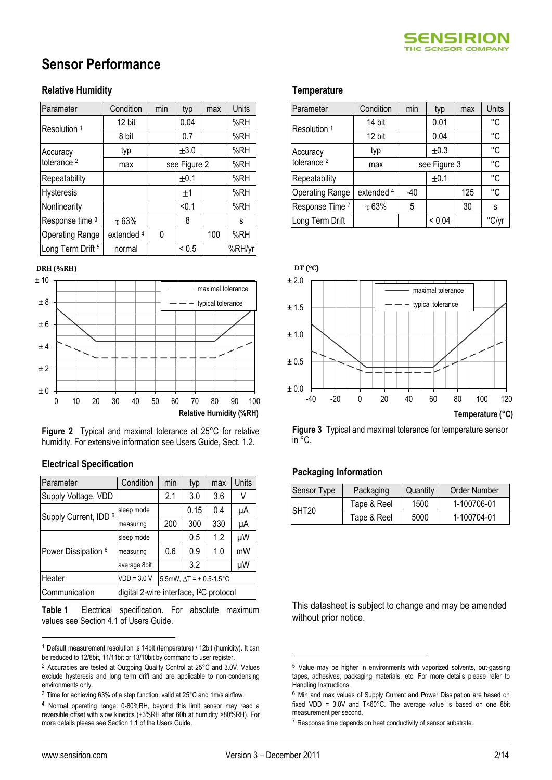

# **Sensor Performance**

### **Relative Humidity**

| Parameter                    | Condition  | min | typ          | max | Units  |
|------------------------------|------------|-----|--------------|-----|--------|
| Resolution 1                 | 12 bit     |     | 0.04         |     | %RH    |
|                              | 8 bit      |     | 0.7          |     | %RH    |
| Accuracy                     | typ        |     | ±3.0         |     | %RH    |
| tolerance <sup>2</sup>       | max        |     | see Figure 2 |     | %RH    |
| Repeatability                |            |     | ±0.1         |     | %RH    |
| <b>Hysteresis</b>            |            |     | $\pm 1$      |     | %RH    |
| Nonlinearity                 |            |     | < 0.1        |     | %RH    |
| Response time 3              | $\tau$ 63% |     | 8            |     | s      |
| <b>Operating Range</b>       | extended 4 | 0   |              | 100 | %RH    |
| Long Term Drift <sup>5</sup> | normal     |     | ${}_{0.5}$   |     | %RH/yr |

#### **DRH (%RH)**



**Figure 2** Typical and maximal tolerance at 25°C for relative humidity. For extensive information see Users Guide, Sect. 1.2.

#### **Electrical Specification**

| Parameter                      | Condition                                           | min                             | typ  | max | Units |
|--------------------------------|-----------------------------------------------------|---------------------------------|------|-----|-------|
| Supply Voltage, VDD            |                                                     | 2.1                             | 3.0  | 3.6 | V     |
| Supply Current, IDD 6          | sleep mode                                          |                                 | 0.15 | 0.4 | μA    |
|                                | measuring                                           | 200                             | 300  | 330 | μA    |
|                                | sleep mode                                          |                                 | 0.5  | 1.2 | μW    |
| Power Dissipation <sup>6</sup> | measuring                                           | 0.6                             | 0.9  | 1.0 | mW    |
|                                | average 8bit                                        |                                 | 3.2  |     | μW    |
| Heater                         | $VDD = 3.0 V$                                       | 5.5mW, $\Delta T$ = + 0.5-1.5°C |      |     |       |
| Communication                  | digital 2-wire interface, I <sup>2</sup> C protocol |                                 |      |     |       |

<span id="page-1-0"></span>**Table 1** Electrical specification. For absolute maximum values see Section 4.1 of Users Guide.

#### **Temperature<sup>567</sup>**

| Parameter               | Condition  | min  | typ    | max          | Units       |
|-------------------------|------------|------|--------|--------------|-------------|
| Resolution <sup>1</sup> | 14 bit     |      | 0.01   |              | °C          |
|                         | 12 bit     |      | 0.04   |              | $^{\circ}C$ |
| Accuracy                | typ        |      | ±0.3   |              | $^{\circ}C$ |
| tolerance <sup>2</sup>  | max        |      |        | see Figure 3 |             |
| Repeatability           |            | ±0.1 |        |              | $^{\circ}C$ |
| <b>Operating Range</b>  | extended 4 | -40  |        | 125          | °C          |
| Response Time 7         | $\tau$ 63% | 5    |        | 30           | S           |
| Long Term Drift         |            |      | < 0.04 |              | °C/yr       |



**Figure 3** Typical and maximal tolerance for temperature sensor in °C.

#### **Packaging Information**

| Sensor Type       | Quantity<br>Packaging |      | Order Number |
|-------------------|-----------------------|------|--------------|
| SHT <sub>20</sub> | Tape & Reel           | 1500 | 1-100706-01  |
|                   | Tape & Reel           | 5000 | 1-100704-01  |

This datasheet is subject to change and may be amended without prior notice.

 $\overline{a}$ 

<u>.</u>

<sup>1</sup> Default measurement resolution is 14bit (temperature) / 12bit (humidity). It can be reduced to 12/8bit, 11/11bit or 13/10bit by command to user register.

<sup>2</sup> Accuracies are tested at Outgoing Quality Control at 25°C and 3.0V. Values exclude hysteresis and long term drift and are applicable to non-condensing environments only.

 $3$  Time for achieving 63% of a step function, valid at 25 $^{\circ}$ C and 1m/s airflow.

<sup>4</sup> Normal operating range: 0-80%RH, beyond this limit sensor may read a reversible offset with slow kinetics (+3%RH after 60h at humidity >80%RH). For more details please see Section 1.1 of the Users Guide.

<sup>5</sup> Value may be higher in environments with vaporized solvents, out-gassing tapes, adhesives, packaging materials, etc. For more details please refer to Handling Instructions.

 $6$  Min and max values of Supply Current and Power Dissipation are based on fixed VDD = 3.0V and T<60°C. The average value is based on one 8bit measurement per second.

 $7$  Response time depends on heat conductivity of sensor substrate.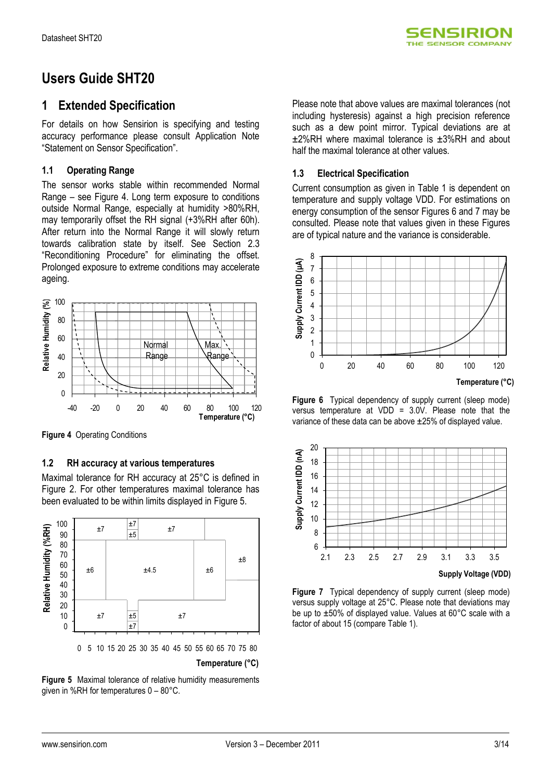

# **Users Guide SHT20**

### **1 Extended Specification**

For details on how Sensirion is specifying and testing accuracy performance please consult Application Note "Statement on Sensor Specification".

#### **1.1 Operating Range**

The sensor works stable within recommended Normal Range – see Figure 4. Long term exposure to conditions outside Normal Range, especially at humidity >80%RH, may temporarily offset the RH signal (+3%RH after 60h). After return into the Normal Range it will slowly return towards calibration state by itself. See Section [2.3](#page-4-0) "Reconditioning Procedure" for eliminating the offset. Prolonged exposure to extreme conditions may accelerate ageing.



**Figure 4** Operating Conditions

#### **1.2 RH accuracy at various temperatures**

Maximal tolerance for RH accuracy at 25°C is defined in Figure 2. For other temperatures maximal tolerance has been evaluated to be within limits displayed in [Figure 5.](#page-2-0)



0 5 10 15 20 25 30 35 40 45 50 55 60 65 70 75 80

**Temperature (°C)**

<span id="page-2-0"></span>**Figure 5** Maximal tolerance of relative humidity measurements given in %RH for temperatures 0 – 80°C.

Please note that above values are maximal tolerances (not including hysteresis) against a high precision reference such as a dew point mirror. Typical deviations are at ±2%RH where maximal tolerance is ±3%RH and about half the maximal tolerance at other values.

#### **1.3 Electrical Specification**

Current consumption as given in Table 1 is dependent on temperature and supply voltage VDD. For estimations on energy consumption of the sensor Figures 6 and 7 may be consulted. Please note that values given in these Figures are of typical nature and the variance is considerable.



**Figure 6** Typical dependency of supply current (sleep mode) versus temperature at VDD = 3.0V. Please note that the variance of these data can be above ±25% of displayed value.



**Figure 7** Typical dependency of supply current (sleep mode) versus supply voltage at 25°C. Please note that deviations may be up to ±50% of displayed value. Values at 60°C scale with a factor of about 15 (compare Table 1).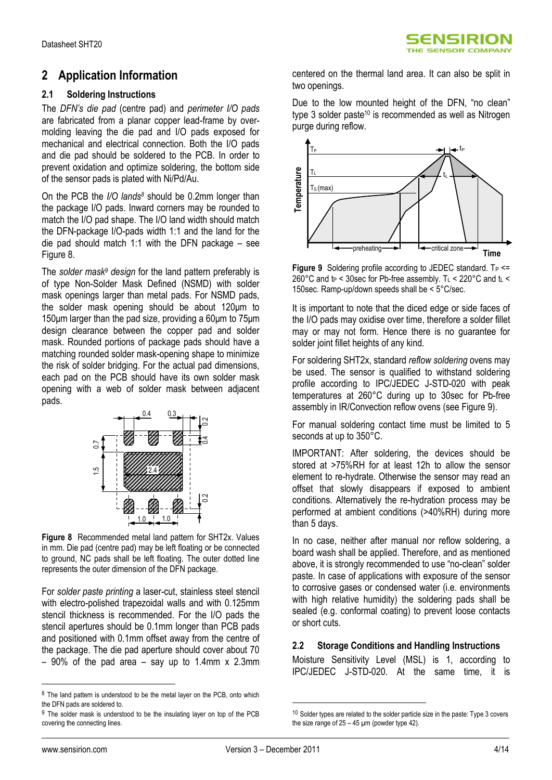### **2 Application Information**

#### **2.1 Soldering Instructions**

The *DFN's die pad* (centre pad) and *perimeter I/O pads* are fabricated from a planar copper lead-frame by overmolding leaving the die pad and I/O pads exposed for mechanical and electrical connection. Both the I/O pads and die pad should be soldered to the PCB. In order to prevent oxidation and optimize soldering, the bottom side of the sensor pads is plated with Ni/Pd/Au.

On the PCB the *I/O lands<sup>8</sup>* should be 0.2mm longer than the package I/O pads. Inward corners may be rounded to match the I/O pad shape. The I/O land width should match the DFN-package I/O-pads width 1:1 and the land for the die pad should match 1:1 with the DFN package – see [Figure 8.](#page-3-0)

The *solder mask<sup>9</sup> design* for the land pattern preferably is of type Non-Solder Mask Defined (NSMD) with solder mask openings larger than metal pads. For NSMD pads, the solder mask opening should be about 120μm to 150μm larger than the pad size, providing a 60μm to 75μm design clearance between the copper pad and solder mask. Rounded portions of package pads should have a matching rounded solder mask-opening shape to minimize the risk of solder bridging. For the actual pad dimensions, each pad on the PCB should have its own solder mask opening with a web of solder mask between adjacent pads.



<span id="page-3-0"></span>**Figure 8** Recommended metal land pattern for SHT2x. Values in mm. Die pad (centre pad) may be left floating or be connected to ground, NC pads shall be left floating. The outer dotted line represents the outer dimension of the DFN package.

For *solder paste printing* a laser-cut, stainless steel stencil with electro-polished trapezoidal walls and with 0.125mm stencil thickness is recommended. For the I/O pads the stencil apertures should be 0.1mm longer than PCB pads and positioned with 0.1mm offset away from the centre of the package. The die pad aperture should cover about 70  $-90\%$  of the pad area  $-$  say up to 1.4mm x 2.3mm

centered on the thermal land area. It can also be split in two openings.

Due to the low mounted height of the DFN, "no clean" type 3 solder paste<sup>10</sup> is recommended as well as Nitrogen purge during reflow.



<span id="page-3-1"></span>**Figure 9** Soldering profile according to JEDEC standard.  $T_P \leq T$ 260°C and  $t_P$  < 30sec for Pb-free assembly. T<sub>L</sub> < 220°C and  $t_L$  < 150sec. Ramp-up/down speeds shall be < 5°C/sec.

It is important to note that the diced edge or side faces of the I/O pads may oxidise over time, therefore a solder fillet may or may not form. Hence there is no guarantee for solder joint fillet heights of any kind.

For soldering SHT2x, standard *reflow soldering* ovens may be used. The sensor is qualified to withstand soldering profile according to IPC/JEDEC J-STD-020 with peak temperatures at 260°C during up to 30sec for Pb-free assembly in IR/Convection reflow ovens (see [Figure 9\)](#page-3-1).

For manual soldering contact time must be limited to 5 seconds at up to 350°C.

IMPORTANT: After soldering, the devices should be stored at >75%RH for at least 12h to allow the sensor element to re-hydrate. Otherwise the sensor may read an offset that slowly disappears if exposed to ambient conditions. Alternatively the re-hydration process may be performed at ambient conditions (>40%RH) during more than 5 days.

In no case, neither after manual nor reflow soldering, a board wash shall be applied. Therefore, and as mentioned above, it is strongly recommended to use "no-clean" solder paste. In case of applications with exposure of the sensor to corrosive gases or condensed water (i.e. environments with high relative humidity) the soldering pads shall be sealed (e.g. conformal coating) to prevent loose contacts or short cuts.

### **2.2 Storage Conditions and Handling Instructions**

Moisture Sensitivity Level (MSL) is 1, according to IPC/JEDEC J-STD-020. At the same time, it is

 $\overline{a}$ 

<u>.</u>

<sup>&</sup>lt;sup>8</sup> The land pattern is understood to be the metal layer on the PCB, onto which the DFN pads are soldered to.

<sup>&</sup>lt;sup>9</sup> The solder mask is understood to be the insulating layer on top of the PCB covering the connecting lines.

 $10$  Solder types are related to the solder particle size in the paste: Type 3 covers the size range of  $25 - 45$  µm (powder type 42).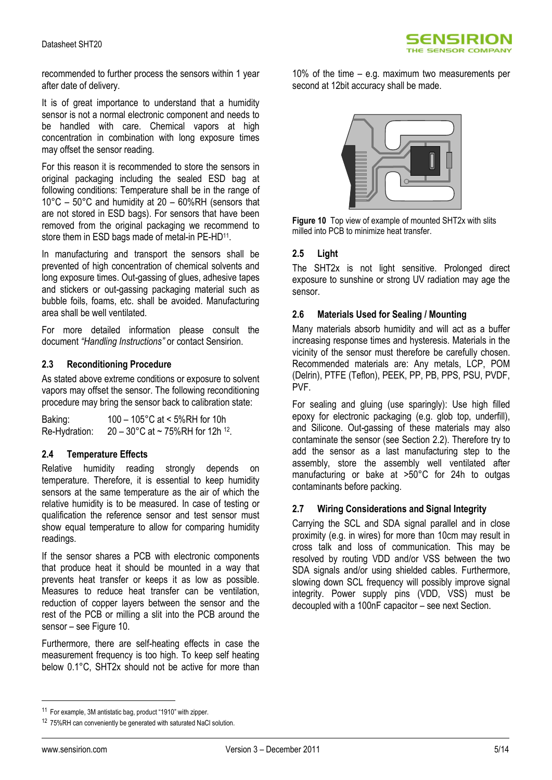

recommended to further process the sensors within 1 year after date of delivery.

It is of great importance to understand that a humidity sensor is not a normal electronic component and needs to be handled with care. Chemical vapors at high concentration in combination with long exposure times may offset the sensor reading.

For this reason it is recommended to store the sensors in original packaging including the sealed ESD bag at following conditions: Temperature shall be in the range of 10°C – 50°C and humidity at 20 – 60%RH (sensors that are not stored in ESD bags). For sensors that have been removed from the original packaging we recommend to store them in ESD bags made of metal-in PE-HD<sup>11</sup>.

In manufacturing and transport the sensors shall be prevented of high concentration of chemical solvents and long exposure times. Out-gassing of glues, adhesive tapes and stickers or out-gassing packaging material such as bubble foils, foams, etc. shall be avoided. Manufacturing area shall be well ventilated.

For more detailed information please consult the document *"Handling Instructions"* or contact Sensirion.

#### <span id="page-4-0"></span>**2.3 Reconditioning Procedure**

As stated above extreme conditions or exposure to solvent vapors may offset the sensor. The following reconditioning procedure may bring the sensor back to calibration state:

Baking: 100 – 105°C at < 5%RH for 10h Re-Hydration:  $20-30^{\circ}$ C at ~ 75%RH for 12h <sup>12</sup>.

#### **2.4 Temperature Effects**

Relative humidity reading strongly depends on temperature. Therefore, it is essential to keep humidity sensors at the same temperature as the air of which the relative humidity is to be measured. In case of testing or qualification the reference sensor and test sensor must show equal temperature to allow for comparing humidity readings.

If the sensor shares a PCB with electronic components that produce heat it should be mounted in a way that prevents heat transfer or keeps it as low as possible. Measures to reduce heat transfer can be ventilation, reduction of copper layers between the sensor and the rest of the PCB or milling a slit into the PCB around the sensor – see [Figure 10.](#page-4-1)

Furthermore, there are self-heating effects in case the measurement frequency is too high. To keep self heating below 0.1°C, SHT2x should not be active for more than 10% of the time – e.g. maximum two measurements per second at 12bit accuracy shall be made.



**Figure 10** Top view of example of mounted SHT2x with slits milled into PCB to minimize heat transfer.

#### <span id="page-4-1"></span>**2.5 Light**

The SHT2x is not light sensitive. Prolonged direct exposure to sunshine or strong UV radiation may age the sensor.

#### **2.6 Materials Used for Sealing / Mounting**

Many materials absorb humidity and will act as a buffer increasing response times and hysteresis. Materials in the vicinity of the sensor must therefore be carefully chosen. Recommended materials are: Any metals, LCP, POM (Delrin), PTFE (Teflon), PEEK, PP, PB, PPS, PSU, PVDF, PVF.

For sealing and gluing (use sparingly): Use high filled epoxy for electronic packaging (e.g. glob top, underfill), and Silicone. Out-gassing of these materials may also contaminate the sensor (see Section 2.2). Therefore try to add the sensor as a last manufacturing step to the assembly, store the assembly well ventilated after manufacturing or bake at >50°C for 24h to outgas contaminants before packing.

#### **2.7 Wiring Considerations and Signal Integrity**

Carrying the SCL and SDA signal parallel and in close proximity (e.g. in wires) for more than 10cm may result in cross talk and loss of communication. This may be resolved by routing VDD and/or VSS between the two SDA signals and/or using shielded cables. Furthermore, slowing down SCL frequency will possibly improve signal integrity. Power supply pins (VDD, VSS) must be decoupled with a 100nF capacitor – see next Section.

 $\overline{a}$ 

<sup>11</sup> For example, 3M antistatic bag, product "1910" with zipper.

<sup>12 75%</sup>RH can conveniently be generated with saturated NaCl solution.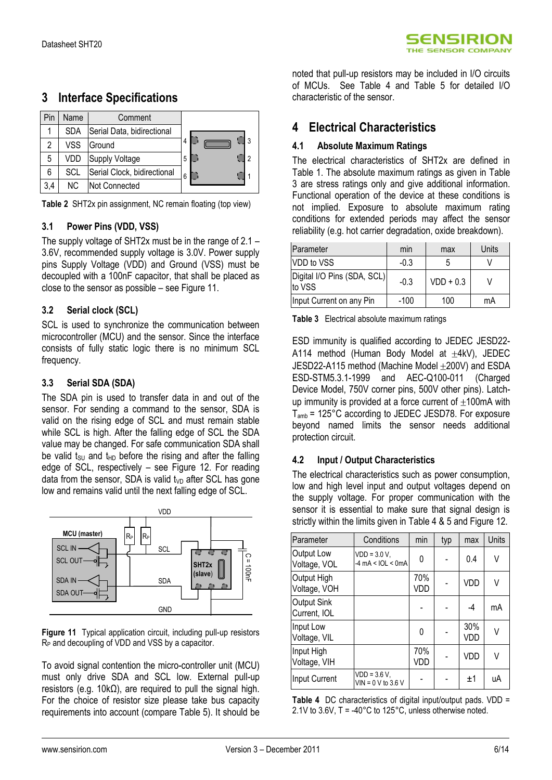| Pin | Name       | Comment                     |        |
|-----|------------|-----------------------------|--------|
|     | <b>SDA</b> | Serial Data, bidirectional  |        |
| 2   | <b>VSS</b> | Ground                      | 4      |
| 5   | VDD        | Supply Voltage              | 5<br>ົ |
| 6   | SCL        | Serial Clock, bidirectional | 6      |
| 3,4 | NC.        | Not Connected               |        |

### **3 Interface Specifications**

<span id="page-5-0"></span>

#### **3.1 Power Pins (VDD, VSS)**

The supply voltage of SHT2x must be in the range of 2.1 – 3.6V, recommended supply voltage is 3.0V. Power supply pins Supply Voltage (VDD) and Ground (VSS) must be decoupled with a 100nF capacitor, that shall be placed as close to the sensor as possible – se[e Figure 11.](#page-5-1)

#### **3.2 Serial clock (SCL)**

SCL is used to synchronize the communication between microcontroller (MCU) and the sensor. Since the interface consists of fully static logic there is no minimum SCL frequency.

#### **3.3 Serial SDA (SDA)**

The SDA pin is used to transfer data in and out of the sensor. For sending a command to the sensor, SDA is valid on the rising edge of SCL and must remain stable while SCL is high. After the falling edge of SCL the SDA value may be changed. For safe communication SDA shall be valid t<sub>SU</sub> and t<sub>HD</sub> before the rising and after the falling edge of SCL, respectively – see [Figure 12.](#page-6-0) For reading data from the sensor, SDA is valid  $t_{VD}$  after SCL has gone low and remains valid until the next falling edge of SCL.



<span id="page-5-1"></span>Figure 11 Typical application circuit, including pull-up resistors R<sup>P</sup> and decoupling of VDD and VSS by a capacitor.

To avoid signal contention the micro-controller unit (MCU) must only drive SDA and SCL low. External pull-up resistors (e.g. 10kΩ), are required to pull the signal high. For the choice of resistor size please take bus capacity requirements into account (compare Table 5). It should be

noted that pull-up resistors may be included in I/O circuits of MCUs. See [Table 4](#page-5-2) and [Table 5](#page-6-1) for detailed I/O characteristic of the sensor.

### **4 Electrical Characteristics**

#### **4.1 Absolute Maximum Ratings**

The electrical characteristics of SHT2x are defined in [Table 1.](#page-1-0) The absolute maximum ratings as given in [Table](#page-5-3)  [3](#page-5-3) are stress ratings only and give additional information. Functional operation of the device at these conditions is not implied. Exposure to absolute maximum rating conditions for extended periods may affect the sensor reliability (e.g. hot carrier degradation, oxide breakdown).

| Parameter                             | min    | max         | Units |
|---------------------------------------|--------|-------------|-------|
| VDD to VSS                            | $-0.3$ |             |       |
| Digital I/O Pins (SDA, SCL)<br>to VSS | $-0.3$ | $VDD + 0.3$ |       |
| Input Current on any Pin              | $-100$ | 100         | mA    |

<span id="page-5-3"></span>**Table 3** Electrical absolute maximum ratings

ESD immunity is qualified according to JEDEC JESD22- A114 method (Human Body Model at  $\pm$ 4kV), JEDEC JESD22-A115 method (Machine Model ±200V) and ESDA ESD-STM5.3.1-1999 and AEC-Q100-011 (Charged Device Model, 750V corner pins, 500V other pins). Latchup immunity is provided at a force current of  $\pm 100$ mA with  $T_{amb}$  = 125°C according to JEDEC JESD78. For exposure beyond named limits the sensor needs additional protection circuit.

#### **4.2 Input / Output Characteristics**

The electrical characteristics such as power consumption, low and high level input and output voltages depend on the supply voltage. For proper communication with the sensor it is essential to make sure that signal design is strictly within the limits given i[n Table 4](#page-5-2) & 5 and [Figure 12.](#page-6-0)

| Parameter                   | Conditions                                                  | min        | typ | max        | Units |
|-----------------------------|-------------------------------------------------------------|------------|-----|------------|-------|
| Output Low<br>Voltage, VOL  | $VDD = 3.0 V,$<br>$-4 \text{ mA} < \text{IOL} < \text{0mA}$ | 0          |     | 0.4        | V     |
| Output High<br>Voltage, VOH |                                                             | 70%<br>VDD |     | VDD        | ٧     |
| Output Sink<br>Current, IOL |                                                             |            |     | $-4$       | mA    |
| Input Low<br>Voltage, VIL   |                                                             | 0          |     | 30%<br>VDD | V     |
| Input High<br>Voltage, VIH  |                                                             | 70%<br>VDD |     | VDD        | V     |
| Input Current               | $VDD = 3.6 V,$<br>$VIN = 0 V to 3.6 V$                      |            |     | $+1$       | uA    |

<span id="page-5-2"></span>**Table 4** DC characteristics of digital input/output pads. VDD = 2.1V to 3.6V, T = -40°C to 125°C, unless otherwise noted.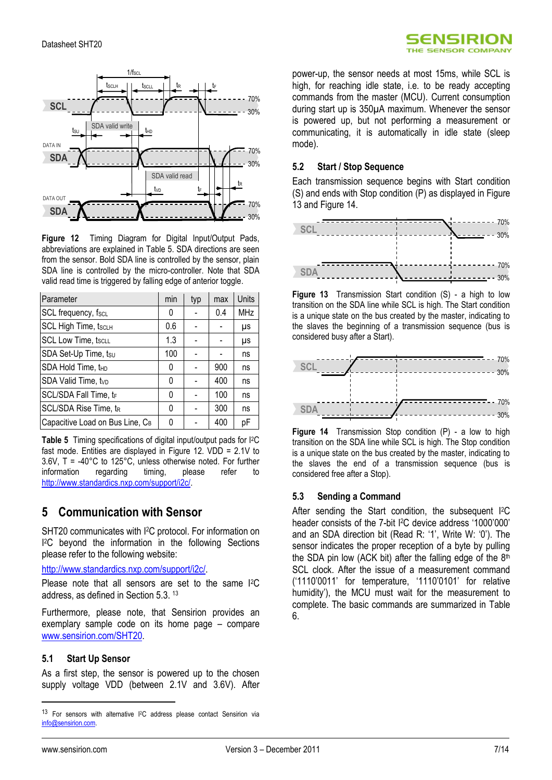

<span id="page-6-0"></span>**Figure 12** Timing Diagram for Digital Input/Output Pads, abbreviations are explained in [Table 5.](#page-6-1) SDA directions are seen from the sensor. Bold SDA line is controlled by the sensor, plain SDA line is controlled by the micro-controller. Note that SDA valid read time is triggered by falling edge of anterior toggle.

| Parameter                       | min | typ | max | Units      |
|---------------------------------|-----|-----|-----|------------|
| SCL frequency, fscL             | 0   |     | 0.4 | <b>MHz</b> |
| <b>SCL High Time, tscLH</b>     | 0.6 |     |     | μs         |
| <b>SCL Low Time, tscLL</b>      | 1.3 |     |     | μs         |
| SDA Set-Up Time, tsu            | 100 |     |     | ns         |
| SDA Hold Time, the              | 0   |     | 900 | ns         |
| SDA Valid Time, tvp             | 0   |     | 400 | ns         |
| SCL/SDA Fall Time, tr           | 0   |     | 100 | ns         |
| SCL/SDA Rise Time, tR           | 0   |     | 300 | ns         |
| Capacitive Load on Bus Line, CB | ŋ   |     | 400 | рF         |

<span id="page-6-1"></span>**Table 5** Timing specifications of digital input/output pads for I2C fast mode. Entities are displayed in [Figure 12.](#page-6-0) VDD = 2.1V to 3.6V, T = -40°C to 125°C, unless otherwise noted. For further information regarding timing, please refer to [http://www.standardics.nxp.com/support/i2c/.](http://www.standardics.nxp.com/support/i2c/) 

## **5 Communication with Sensor**

SHT20 communicates with I <sup>2</sup>C protocol. For information on I <sup>2</sup>C beyond the information in the following Sections please refer to the following website:

[http://www.standardics.nxp.com/support/i2c/.](http://www.standardics.nxp.com/support/i2c/)

Please note that all sensors are set to the same I<sup>2</sup>C address, as defined in Section 5.3. 13

Furthermore, please note, that Sensirion provides an exemplary sample code on its home page – compare [www.sensirion.com/SHT20.](http://www.sensirion.com/sht21)

#### **5.1 Start Up Sensor**

As a first step, the sensor is powered up to the chosen supply voltage VDD (between 2.1V and 3.6V). After power-up, the sensor needs at most 15ms, while SCL is high, for reaching idle state, i.e. to be ready accepting commands from the master (MCU). Current consumption during start up is 350µA maximum. Whenever the sensor is powered up, but not performing a measurement or communicating, it is automatically in idle state (sleep mode).

SENSIRION THE SENSOR COMPANY

#### **5.2 Start / Stop Sequence**

Each transmission sequence begins with Start condition (S) and ends with Stop condition (P) as displayed i[n Figure](#page-6-2)  [13](#page-6-2) and [Figure 14.](#page-6-3)



<span id="page-6-2"></span>**Figure 13** Transmission Start condition (S) - a high to low transition on the SDA line while SCL is high. The Start condition is a unique state on the bus created by the master, indicating to the slaves the beginning of a transmission sequence (bus is considered busy after a Start).



<span id="page-6-3"></span>**Figure 14** Transmission Stop condition (P) - a low to high transition on the SDA line while SCL is high. The Stop condition is a unique state on the bus created by the master, indicating to the slaves the end of a transmission sequence (bus is considered free after a Stop).

#### **5.3 Sending a Command**

After sending the Start condition, the subsequent I<sup>2</sup>C header consists of the 7-bit <sup>[2</sup>C device address '1000'000' and an SDA direction bit (Read R: "1", Write W: "0"). The sensor indicates the proper reception of a byte by pulling the SDA pin low (ACK bit) after the falling edge of the  $8<sup>th</sup>$ SCL clock. After the issue of a measurement command ("1110"0011" for temperature, "1110"0101" for relative humidity'), the MCU must wait for the measurement to complete. The basic commands are summarized in [Table](#page-7-0)  [6.](#page-7-0) 

 $\overline{a}$ 

<sup>13</sup> For sensors with alternative I<sup>2</sup>C address please contact Sensirion via [info@sensirion.com.](mailto:info@sensirion.com)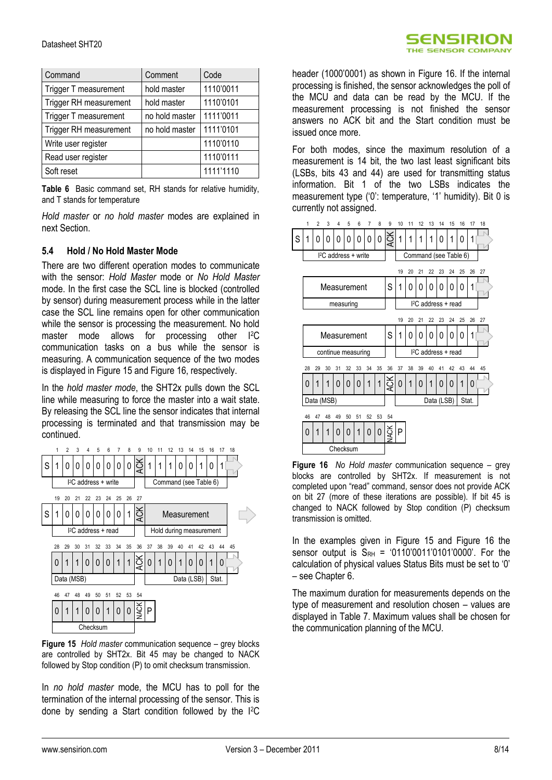| Command                | Comment        | Code      |
|------------------------|----------------|-----------|
| Trigger T measurement  | hold master    | 1110'0011 |
| Trigger RH measurement | hold master    | 1110'0101 |
| Trigger T measurement  | no hold master | 1111'0011 |
| Trigger RH measurement | no hold master | 1111'0101 |
| Write user register    |                | 1110'0110 |
| Read user register     |                | 1110'0111 |
| Soft reset             |                | 1111'1110 |

<span id="page-7-0"></span>**Table 6** Basic command set, RH stands for relative humidity, and T stands for temperature

*Hold master* or *no hold master* modes are explained in next Section.

#### **5.4 Hold / No Hold Master Mode**

There are two different operation modes to communicate with the sensor: *Hold Master* mode or *No Hold Master* mode. In the first case the SCL line is blocked (controlled by sensor) during measurement process while in the latter case the SCL line remains open for other communication while the sensor is processing the measurement. No hold master mode allows for processing other I<sup>2</sup>C communication tasks on a bus while the sensor is measuring. A communication sequence of the two modes is displayed in [Figure 15](#page-7-1) an[d Figure 16,](#page-7-2) respectively.

In the *hold master mode*, the SHT2x pulls down the SCL line while measuring to force the master into a wait state. By releasing the SCL line the sensor indicates that internal processing is terminated and that transmission may be continued.



<span id="page-7-1"></span>**Figure 15** *Hold master* communication sequence – grey blocks are controlled by SHT2x. Bit 45 may be changed to NACK followed by Stop condition (P) to omit checksum transmission.

In *no hold master* mode, the MCU has to poll for the termination of the internal processing of the sensor. This is done by sending a Start condition followed by the I2C



header (1000"0001) as shown in [Figure 16.](#page-7-2) If the internal processing is finished, the sensor acknowledges the poll of the MCU and data can be read by the MCU. If the measurement processing is not finished the sensor answers no ACK bit and the Start condition must be issued once more.

For both modes, since the maximum resolution of a measurement is 14 bit, the two last least significant bits (LSBs, bits 43 and 44) are used for transmitting status information. Bit 1 of the two LSBs indicates the measurement type ('0': temperature, '1' humidity). Bit 0 is currently not assigned.



<span id="page-7-2"></span>**Figure 16** *No Hold master* communication sequence – grey blocks are controlled by SHT2x. If measurement is not completed upon "read" command, sensor does not provide ACK on bit 27 (more of these iterations are possible). If bit 45 is changed to NACK followed by Stop condition (P) checksum transmission is omitted.

In the examples given in Figure 15 and Figure 16 the sensor output is  $S_{RH} = '0110'0011'0101'0000'$ . For the calculation of physical values Status Bits must be set to "0" – see Chapter 6.

The maximum duration for measurements depends on the type of measurement and resolution chosen – values are displayed in [Table 7.](#page-8-0) Maximum values shall be chosen for the communication planning of the MCU.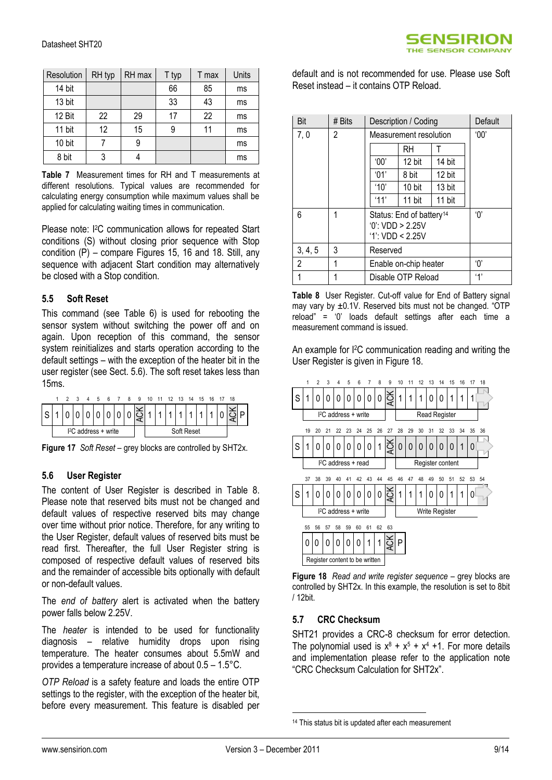| Resolution | RH typ | RH max | T typ | T max | Units |
|------------|--------|--------|-------|-------|-------|
| 14 bit     |        |        | 66    | 85    | ms    |
| 13 bit     |        |        | 33    | 43    | ms    |
| 12 Bit     | 22     | 29     | 17    | 22    | ms    |
| 11 bit     | 12     | 15     | 9     | 11    | ms    |
| 10 bit     |        | 9      |       |       | ms    |
| 8 bit      | 3      |        |       |       | ms    |

<span id="page-8-0"></span>**Table 7** Measurement times for RH and T measurements at different resolutions. Typical values are recommended for calculating energy consumption while maximum values shall be applied for calculating waiting times in communication.

Please note: I<sup>2</sup>C communication allows for repeated Start conditions (S) without closing prior sequence with Stop condition (P) – compare Figures 15, 16 and 18. Still, any sequence with adjacent Start condition may alternatively be closed with a Stop condition.

#### **5.5 Soft Reset**

This command (see [Table 6\)](#page-7-0) is used for rebooting the sensor system without switching the power off and on again. Upon reception of this command, the sensor system reinitializes and starts operation according to the default settings – with the exception of the heater bit in the user register (see Sect. [5.6\)](#page-8-1). The soft reset takes less than 15ms.



**Figure 17** *Soft Reset* – grey blocks are controlled by SHT2x.

### <span id="page-8-1"></span>**5.6 User Register**

The content of User Register is described in [Table 8.](#page-8-2) Please note that reserved bits must not be changed and default values of respective reserved bits may change over time without prior notice. Therefore, for any writing to the User Register, default values of reserved bits must be read first. Thereafter, the full User Register string is composed of respective default values of reserved bits and the remainder of accessible bits optionally with default or non-default values.

The *end of battery* alert is activated when the battery power falls below 2.25V.

The *heater* is intended to be used for functionality diagnosis – relative humidity drops upon rising temperature. The heater consumes about 5.5mW and provides a temperature increase of about 0.5 – 1.5°C.

*OTP Reload* is a safety feature and loads the entire OTP settings to the register, with the exception of the heater bit, before every measurement. This feature is disabled per default and is not recommended for use. Please use Soft Reset instead – it contains OTP Reload.

| Bit            | # Bits | Description / Coding                                                     |        |        | Default |
|----------------|--------|--------------------------------------------------------------------------|--------|--------|---------|
| 7,0            | 2      | Measurement resolution                                                   |        |        | 00'     |
|                |        |                                                                          | RH     |        |         |
|                |        | '00'                                                                     | 12 bit | 14 bit |         |
|                |        | $^{\circ}$ 01'                                                           | 8 bit  | 12 bit |         |
|                |        | '10'                                                                     | 10 bit | 13 bit |         |
|                |        | '11'                                                                     | 11 bit | 11 bit |         |
| 6              | 1      | Status: End of battery <sup>14</sup><br>0: VDD > 2.25V<br>1: VDD < 2.25V | 'በ'    |        |         |
| 3, 4, 5        | 3      | Reserved                                                                 |        |        |         |
| $\overline{2}$ | 1      | Enable on-chip heater                                                    |        |        | 'በ'     |
|                | 1      | Disable OTP Reload                                                       |        |        | 4'      |

<span id="page-8-2"></span>**Table 8** User Register. Cut-off value for End of Battery signal may vary by  $\pm 0.1V$ . Reserved bits must not be changed. "OTP reload" = "0" loads default settings after each time a measurement command is issued.

An example for I2C communication reading and writing the User Register is given i[n Figure 18.](#page-8-3)



<span id="page-8-3"></span>**Figure 18** *Read and write register sequence* – grey blocks are controlled by SHT2x. In this example, the resolution is set to 8bit / 12bit.

### **5.7 CRC Checksum**

SHT21 provides a CRC-8 checksum for error detection. The polynomial used is  $x^8 + x^5 + x^4 + 1$ . For more details and implementation please refer to the application note "CRC Checksum Calculation for SHT2x".

1

<sup>&</sup>lt;sup>14</sup> This status bit is updated after each measurement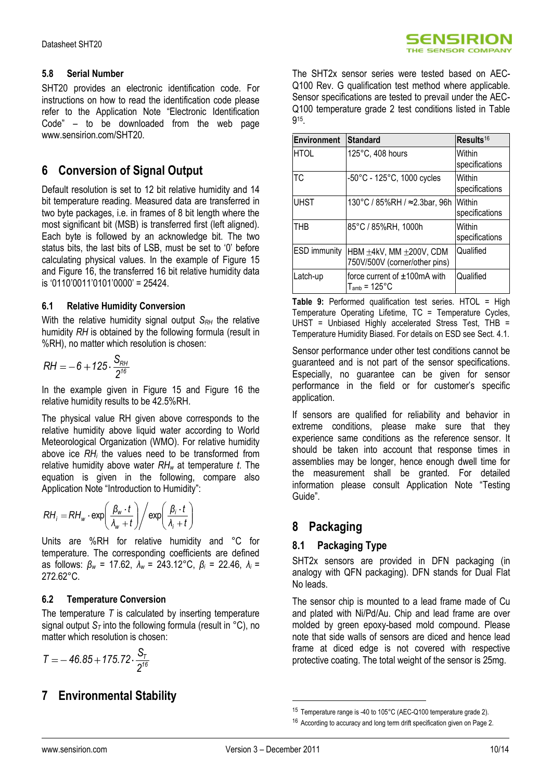SHT20 provides an electronic identification code. For instructions on how to read the identification code please refer to the Application Note "Electronic Identification Code" – to be downloaded from the web page www.sensirion.com/SHT20.

## **6 Conversion of Signal Output**

Default resolution is set to 12 bit relative humidity and 14 bit temperature reading. Measured data are transferred in two byte packages, i.e. in frames of 8 bit length where the most significant bit (MSB) is transferred first (left aligned). Each byte is followed by an acknowledge bit. The two status bits, the last bits of LSB, must be set to "0" before calculating physical values. In the example of [Figure 15](#page-7-1) and [Figure 16,](#page-7-2) the transferred 16 bit relative humidity data is "0110"0011"0101"0000" = 25424.

#### **6.1 Relative Humidity Conversion**

With the relative humidity signal output *S<sub>RH</sub>* the relative humidity *RH* is obtained by the following formula (result in %RH), no matter which resolution is chosen:

$$
RH = -6 + 125 \cdot \frac{S_{RH}}{2^{16}}
$$

In the example given in Figure 15 and Figure 16 the relative humidity results to be 42.5%RH.

The physical value RH given above corresponds to the relative humidity above liquid water according to World Meteorological Organization (WMO). For relative humidity above ice *RH<sup>i</sup>* the values need to be transformed from relative humidity above water *RH<sup>w</sup>* at temperature *t*. The equation is given in the following, compare also Application Note "Introduction to Humidity":

$$
RH_{i} = RH_{w} \cdot \exp\left(\frac{\beta_{w} \cdot t}{\lambda_{w} + t}\right) / \exp\left(\frac{\beta_{i} \cdot t}{\lambda_{i} + t}\right)
$$

Units are %RH for relative humidity and °C for temperature. The corresponding coefficients are defined as follows: *β<sup>w</sup>* = 17.62, *λ<sup>w</sup>* = 243.12°C, *β<sup>i</sup>* = 22.46, *λ<sup>i</sup>* = 272.62°C.

### **6.2 Temperature Conversion**

The temperature *T* is calculated by inserting temperature signal output *S<sup>T</sup>* into the following formula (result in °C), no matter which resolution is chosen:

$$
T = -46.85 + 175.72 \cdot \frac{S_T}{2^{16}}
$$

## **7 Environmental Stability**

The SHT2x sensor series were tested based on AEC-Q100 Rev. G qualification test method where applicable. Sensor specifications are tested to prevail under the AEC-Q100 temperature grade 2 test conditions listed in Table 9 15 .

| <b>Environment</b> | <b>Standard</b>                                          | Results <sup>16</sup>    |
|--------------------|----------------------------------------------------------|--------------------------|
| <b>HTOL</b>        | 125°C, 408 hours                                         | Within<br>specifications |
| ТC                 | $-50^{\circ}$ C - 125 $^{\circ}$ C, 1000 cycles          | Within<br>specifications |
| <b>UHST</b>        | 130°C / 85%RH / ≈2.3bar, 96h                             | Within<br>specifications |
| THB                | 85°C / 85%RH, 1000h                                      | Within<br>specifications |
| ESD immunity       | HBM ±4kV, MM ±200V, CDM<br>750V/500V (corner/other pins) | Qualified                |
| Latch-up           | force current of ±100mA with<br>$T_{amb}$ = 125°C        | Qualified                |

**Table 9:** Performed qualification test series. HTOL = High Temperature Operating Lifetime, TC = Temperature Cycles, UHST = Unbiased Highly accelerated Stress Test, THB = Temperature Humidity Biased. For details on ESD see Sect. 4.1.

Sensor performance under other test conditions cannot be guaranteed and is not part of the sensor specifications. Especially, no guarantee can be given for sensor performance in the field or for customer's specific application.

If sensors are qualified for reliability and behavior in extreme conditions, please make sure that they experience same conditions as the reference sensor. It should be taken into account that response times in assemblies may be longer, hence enough dwell time for the measurement shall be granted. For detailed information please consult Application Note "Testing Guide".

## **8 Packaging**

### **8.1 Packaging Type**

SHT2x sensors are provided in DFN packaging (in analogy with QFN packaging). DFN stands for Dual Flat No leads.

The sensor chip is mounted to a lead frame made of Cu and plated with Ni/Pd/Au. Chip and lead frame are over molded by green epoxy-based mold compound. Please note that side walls of sensors are diced and hence lead frame at diced edge is not covered with respective protective coating. The total weight of the sensor is 25mg.

1

<sup>15</sup> Temperature range is -40 to 105°C (AEC-Q100 temperature grade 2).

<sup>&</sup>lt;sup>16</sup> According to accuracy and long term drift specification given on Page 2.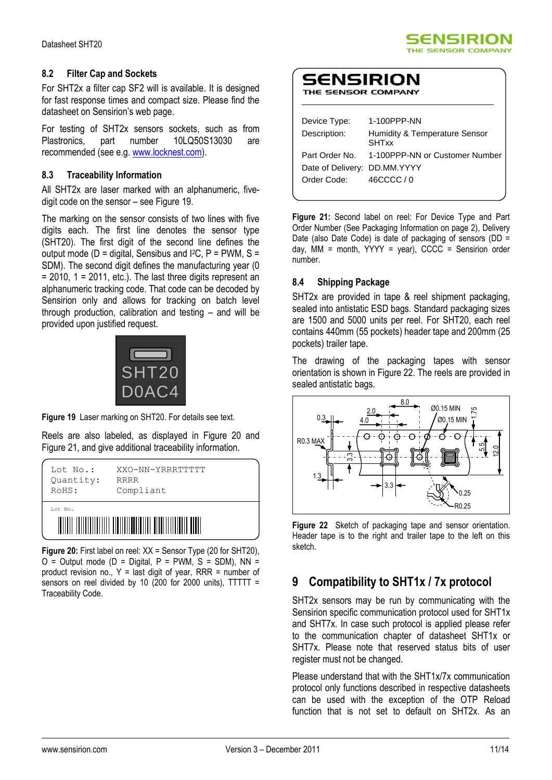#### **8.2 Filter Cap and Sockets**

For SHT2x a filter cap SF2 will is available. It is designed for fast response times and compact size. Please find the datasheet on Sensirion's web page.

For testing of SHT2x sensors sockets, such as from Plastronics, part number 10LQ50S13030 are recommended (see e.g. [www.locknest.com\)](http://www.locknest.com/).

#### **8.3 Traceability Information**

All SHT2x are laser marked with an alphanumeric, fivedigit code on the sensor – see [Figure 19.](#page-10-0)

The marking on the sensor consists of two lines with five digits each. The first line denotes the sensor type (SHT20). The first digit of the second line defines the output mode ( $D =$  digital, Sensibus and I<sup>2</sup>C,  $P =$  PWM, S = SDM). The second digit defines the manufacturing year (0  $= 2010$ ,  $1 = 2011$ , etc.). The last three digits represent an alphanumeric tracking code. That code can be decoded by Sensirion only and allows for tracking on batch level through production, calibration and testing – and will be provided upon justified request.



<span id="page-10-0"></span>**Figure 19** Laser marking on SHT20. For details see text.

Reels are also labeled, as displayed in Figure 20 and Figure 21, and give additional traceability information.



**Figure 20:** First label on reel: XX = Sensor Type (20 for SHT20),  $O =$  Output mode (D = Digital, P = PWM, S = SDM), NN = product revision no.,  $Y =$  last digit of year, RRR = number of sensors on reel divided by 10 (200 for 2000 units), TTTTT = Traceability Code.



## SENSIRION

|  |  | THE SENSOR COMPANY |
|--|--|--------------------|
|--|--|--------------------|

| Device Type:                 | 1-100PPP-NN                                   |
|------------------------------|-----------------------------------------------|
| Description:                 | Humidity & Temperature Sensor<br><b>SHTxx</b> |
| Part Order No.               | 1-100PPP-NN or Customer Number                |
| Date of Delivery: DD.MM.YYYY |                                               |
| Order Code:                  | 46CCCC/0                                      |
|                              |                                               |

**Figure 21:** Second label on reel: For Device Type and Part Order Number (See Packaging Information on page 2), Delivery Date (also Date Code) is date of packaging of sensors (DD = day,  $MM =$  month,  $YYY =$  year),  $CCC =$  Sensirion order number.

#### **8.4 Shipping Package**

SHT2x are provided in tape & reel shipment packaging, sealed into antistatic ESD bags. Standard packaging sizes are 1500 and 5000 units per reel. For SHT20, each reel contains 440mm (55 pockets) header tape and 200mm (25 pockets) trailer tape.

The drawing of the packaging tapes with sensor orientation is shown in Figure 22. The reels are provided in sealed antistatic bags.



**Figure 22** Sketch of packaging tape and sensor orientation. Header tape is to the right and trailer tape to the left on this sketch.

## **9 Compatibility to SHT1x / 7x protocol**

SHT2x sensors may be run by communicating with the Sensirion specific communication protocol used for SHT1x and SHT7x. In case such protocol is applied please refer to the communication chapter of datasheet SHT1x or SHT7x. Please note that reserved status bits of user register must not be changed.

Please understand that with the SHT1x/7x communication protocol only functions described in respective datasheets can be used with the exception of the OTP Reload function that is not set to default on SHT2x. As an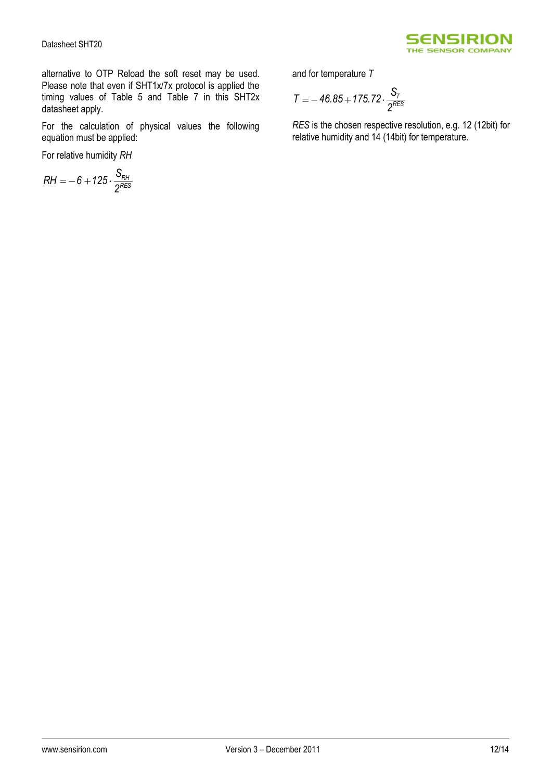

alternative to OTP Reload the soft reset may be used. Please note that even if SHT1x/7x protocol is applied the timing values of [Table 5](#page-6-1) and Table 7 in this SHT2x datasheet apply.

For the calculation of physical values the following equation must be applied:

For relative humidity *RH*

$$
RH=-6+125\cdot\frac{S_{RH}}{2^{RES}}
$$

and for temperature *T*

$$
T = -46.85 + 175.72 \cdot \frac{S_T}{2^{RES}}
$$

*RES* is the chosen respective resolution, e.g. 12 (12bit) for relative humidity and 14 (14bit) for temperature.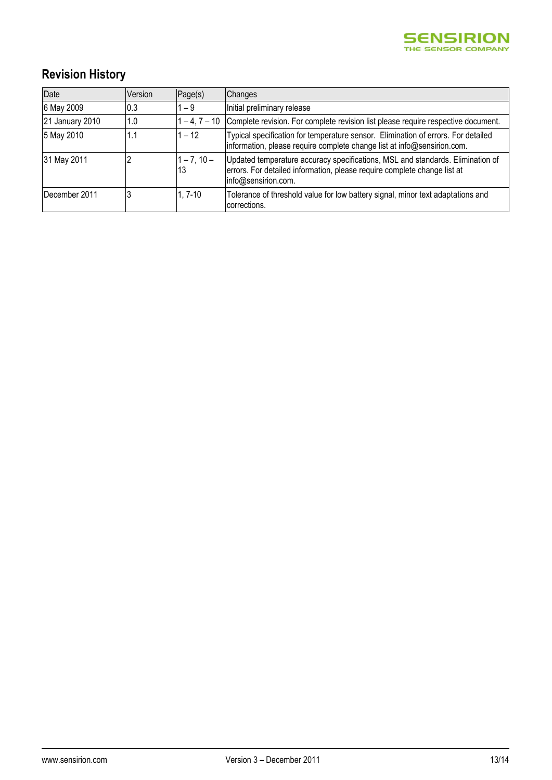

# **Revision History**

| Date            | Version | Page(s)             | <b>Changes</b>                                                                                                                                                                    |
|-----------------|---------|---------------------|-----------------------------------------------------------------------------------------------------------------------------------------------------------------------------------|
| 6 May 2009      | 0.3     | $1 - 9$             | Initial preliminary release                                                                                                                                                       |
| 21 January 2010 | 1.0     |                     | 1-4, 7-10 Complete revision. For complete revision list please require respective document.                                                                                       |
| 5 May 2010      | 1.1     | $1 - 12$            | Typical specification for temperature sensor. Elimination of errors. For detailed<br>information, please require complete change list at info@sensirion.com.                      |
| 31 May 2011     |         | $1 - 7, 10 -$<br>13 | Updated temperature accuracy specifications, MSL and standards. Elimination of<br>errors. For detailed information, please require complete change list at<br>info@sensirion.com. |
| December 2011   |         | $1.7 - 10$          | Tolerance of threshold value for low battery signal, minor text adaptations and<br>Icorrections.                                                                                  |